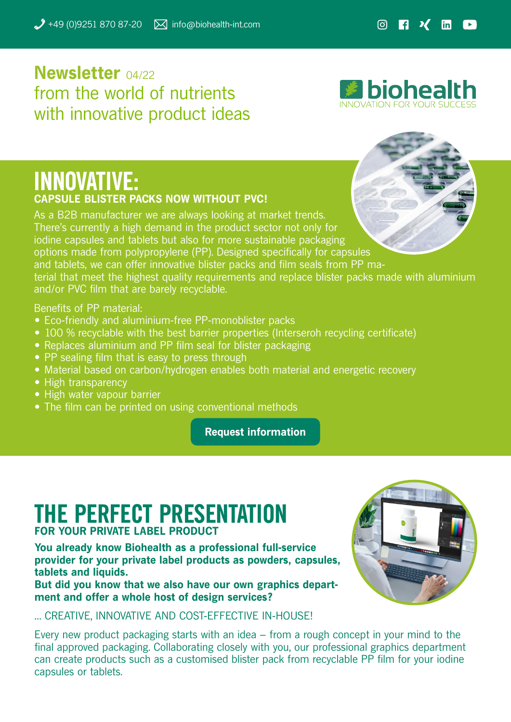## **Newsletter** 04/22 from the world of nutrients with innovative product ideas

**El biohealth** 

### **INNOVATIVE: CAPSULE BLISTER PACKS NOW WITHOUT PVC!**

As a B2B manufacturer we are always looking at market trends. There's currently a high demand in the product sector not only for iodine capsules and tablets but also for more sustainable packaging options made from polypropylene (PP). Designed specifically for capsules and tablets, we can offer innovative blister packs and film seals from PP material that meet the highest quality requirements and replace blister packs made with aluminium and/or PVC film that are barely recyclable.

Benefits of PP material:

- Eco-friendly and aluminium-free PP-monoblister packs
- 100 % recyclable with the best barrier properties (Interseroh recycling certificate)
- Replaces aluminium and PP film seal for blister packaging
- PP sealing film that is easy to press through
- Material based on carbon/hydrogen enables both material and energetic recovery
- High transparency
- High water vapour barrier
- The film can be printed on using conventional methods

**[Request information](mailto:request%40biohealth-int.com?subject=packaging%20options%20made%20from%20polypropylene)**

# **THE PERFECT PRESENTATION**

#### **FOR YOUR PRIVATE LABEL PRODUCT**

**You already know Biohealth as a professional full-service provider for your private label products as powders, capsules, tablets and liquids.**

**But did you know that we also have our own graphics department and offer a whole host of design services?**



… CREATIVE, INNOVATIVE AND COST-EFFECTIVE IN-HOUSE!

Every new product packaging starts with an idea – from a rough concept in your mind to the final approved packaging. Collaborating closely with you, our professional graphics department can create products such as a customised blister pack from recyclable PP film for your iodine capsules or tablets.